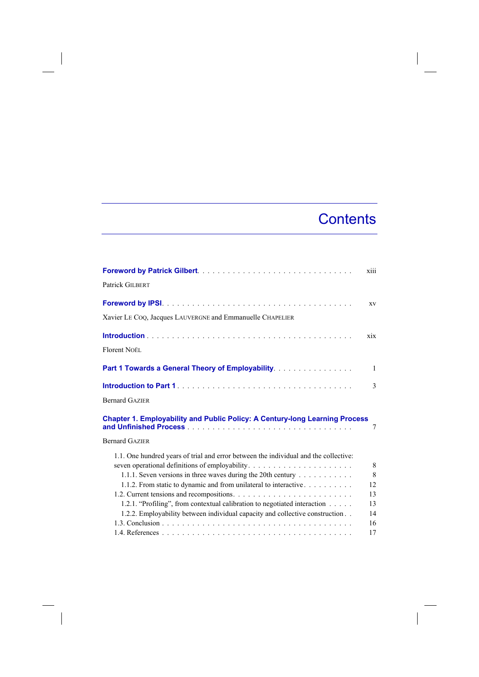## **Contents**

|                                                                                      | xiii         |
|--------------------------------------------------------------------------------------|--------------|
| Patrick GILBERT                                                                      |              |
|                                                                                      | XV           |
| Xavier LE CoQ, Jacques LAUVERGNE and Emmanuelle CHAPELIER                            |              |
|                                                                                      | xix          |
| Florent NOËL                                                                         |              |
| Part 1 Towards a General Theory of Employability.                                    | $\mathbf{1}$ |
|                                                                                      | 3            |
| <b>Bernard GAZIER</b>                                                                |              |
| Chapter 1. Employability and Public Policy: A Century-long Learning Process          | 7            |
| <b>Bernard GAZIER</b>                                                                |              |
| 1.1. One hundred years of trial and error between the individual and the collective: |              |
|                                                                                      | 8            |
| 1.1.1. Seven versions in three waves during the 20th century                         | 8            |
| 1.1.2. From static to dynamic and from unilateral to interactive                     | 12           |
|                                                                                      | 13           |
| 1.2.1. "Profiling", from contextual calibration to negotiated interaction            | 13           |
| 1.2.2. Employability between individual capacity and collective construction         | 14           |
|                                                                                      | 16           |
|                                                                                      | 17           |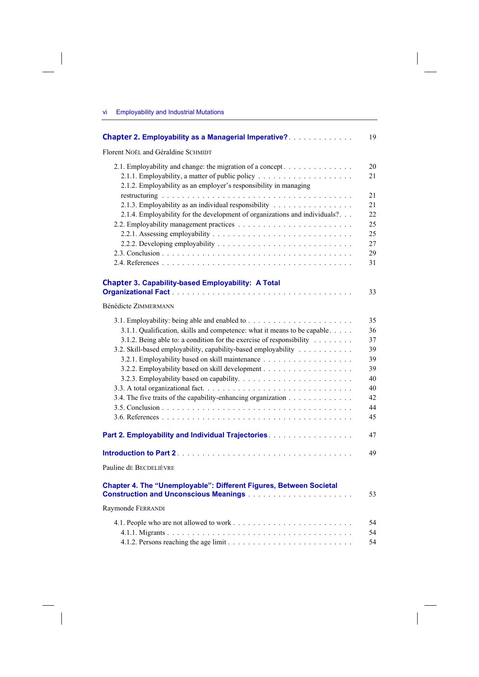$\overline{\phantom{a}}$ 

| <b>Chapter 2. Employability as a Managerial Imperative?</b>                | 19       |
|----------------------------------------------------------------------------|----------|
| Florent NOËL and Géraldine SCHMIDT                                         |          |
| 2.1. Employability and change: the migration of a concept                  | 20<br>21 |
| 2.1.2. Employability as an employer's responsibility in managing           | 21       |
| 2.1.3. Employability as an individual responsibility                       | 21       |
| 2.1.4. Employability for the development of organizations and individuals? | 22       |
|                                                                            | 25       |
|                                                                            | 25       |
|                                                                            | 27       |
|                                                                            | 29       |
|                                                                            | 31       |
| <b>Chapter 3. Capability-based Employability: A Total</b>                  |          |
|                                                                            | 33       |
| <b>Bénédicte ZIMMERMANN</b>                                                |          |
|                                                                            | 35       |
| 3.1.1. Qualification, skills and competence: what it means to be capable.  | 36       |
| 3.1.2. Being able to: a condition for the exercise of responsibility       | 37       |
| 3.2. Skill-based employability, capability-based employability             | 39       |
|                                                                            | 39       |
|                                                                            | 39       |
|                                                                            | 40<br>40 |
| 3.4. The five traits of the capability-enhancing organization              | 42       |
|                                                                            | 44       |
|                                                                            | 45       |
| Part 2. Employability and Individual Trajectories.                         | 47       |
|                                                                            | 49       |
| Pauline de Becdelièvre                                                     |          |
|                                                                            |          |
| Chapter 4. The "Unemployable": Different Figures, Between Societal         | 53       |
| Raymonde FERRANDI                                                          |          |
|                                                                            | 54       |
|                                                                            | 54       |
|                                                                            | 54       |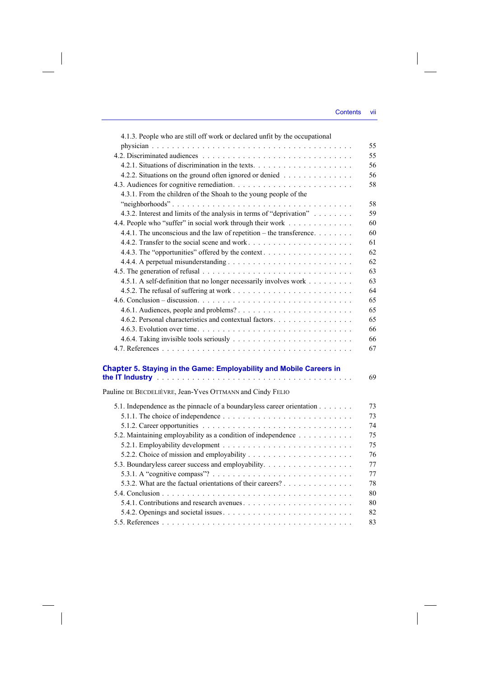| 4.1.3. People who are still off work or declared unfit by the occupational                                            |    |
|-----------------------------------------------------------------------------------------------------------------------|----|
|                                                                                                                       | 55 |
|                                                                                                                       | 55 |
|                                                                                                                       | 56 |
| 4.2.2. Situations on the ground often ignored or denied                                                               | 56 |
|                                                                                                                       | 58 |
| 4.3.1. From the children of the Shoah to the young people of the                                                      |    |
|                                                                                                                       | 58 |
| 4.3.2. Interest and limits of the analysis in terms of "deprivation"                                                  | 59 |
| 4.4. People who "suffer" in social work through their work                                                            | 60 |
| 4.4.1. The unconscious and the law of repetition – the transference                                                   | 60 |
|                                                                                                                       | 61 |
|                                                                                                                       | 62 |
|                                                                                                                       | 62 |
|                                                                                                                       | 63 |
| 4.5.1. A self-definition that no longer necessarily involves work                                                     | 63 |
|                                                                                                                       | 64 |
|                                                                                                                       | 65 |
|                                                                                                                       | 65 |
| 4.6.2. Personal characteristics and contextual factors                                                                | 65 |
|                                                                                                                       | 66 |
|                                                                                                                       | 66 |
|                                                                                                                       | 67 |
|                                                                                                                       |    |
| Chapter 5. Staying in the Game: Employability and Mobile Careers in                                                   |    |
| the IT Industry <b>the contract of the Contract Contract Contract Contract Contract Contract Contract Contract Co</b> | 69 |
| Pauline DE BECDELIÈVRE, Jean-Yves OTTMANN and Cindy FELIO                                                             |    |
| 5.1. Independence as the pinnacle of a boundaryless career orientation                                                | 73 |
|                                                                                                                       | 73 |
|                                                                                                                       | 74 |
| 5.2. Maintaining employability as a condition of independence                                                         | 75 |
|                                                                                                                       | 75 |
|                                                                                                                       | 76 |
| 5.3. Boundaryless career success and employability.                                                                   | 77 |
|                                                                                                                       | 77 |
| 5.3.2. What are the factual orientations of their careers?                                                            | 78 |
|                                                                                                                       | 80 |
|                                                                                                                       | 80 |
|                                                                                                                       | 82 |
|                                                                                                                       | 83 |
|                                                                                                                       |    |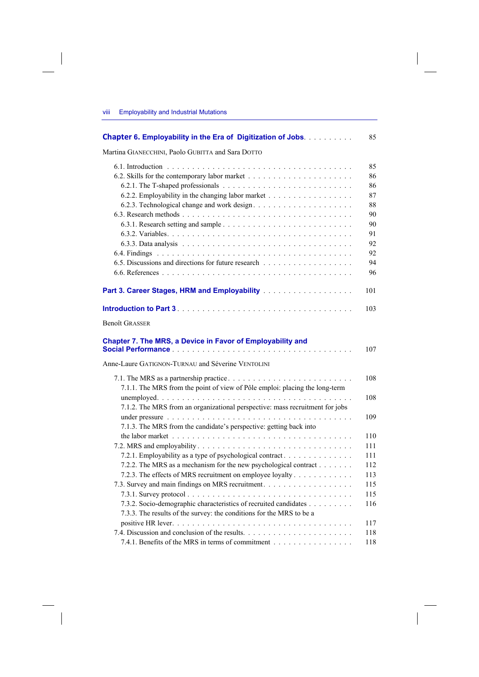$\overline{\phantom{a}}$ 

 $\overline{\phantom{a}}$ 

| Chapter 6. Employability in the Era of Digitization of Jobs.                                                                                       | 85  |
|----------------------------------------------------------------------------------------------------------------------------------------------------|-----|
| Martina GIANECCHINI, Paolo GUBITTA and Sara DOTTO                                                                                                  |     |
|                                                                                                                                                    | 85  |
|                                                                                                                                                    | 86  |
|                                                                                                                                                    | 86  |
|                                                                                                                                                    | 87  |
|                                                                                                                                                    | 88  |
|                                                                                                                                                    | 90  |
|                                                                                                                                                    | 90  |
|                                                                                                                                                    | 91  |
|                                                                                                                                                    | 92  |
|                                                                                                                                                    | 92  |
|                                                                                                                                                    | 94  |
|                                                                                                                                                    | 96  |
|                                                                                                                                                    | 101 |
|                                                                                                                                                    | 103 |
| <b>Benoît GRASSER</b>                                                                                                                              |     |
| Chapter 7. The MRS, a Device in Favor of Employability and<br>Anne-Laure GATIGNON-TURNAU and Séverine VENTOLINI                                    | 107 |
|                                                                                                                                                    | 108 |
| 7.1.1. The MRS from the point of view of Pôle emploi: placing the long-term                                                                        | 108 |
| 7.1.2. The MRS from an organizational perspective: mass recruitment for jobs                                                                       |     |
|                                                                                                                                                    | 109 |
| 7.1.3. The MRS from the candidate's perspective: getting back into                                                                                 |     |
| the labor market $\ldots$ , $\ldots$ , $\ldots$ , $\ldots$ , $\ldots$ , $\ldots$ , $\ldots$ , $\ldots$ , $\ldots$ , $\ldots$ , $\ldots$ , $\ldots$ | 110 |
|                                                                                                                                                    | 111 |
| 7.2.1. Employability as a type of psychological contract                                                                                           | 111 |
| 7.2.2. The MRS as a mechanism for the new psychological contract                                                                                   | 112 |
| 7.2.3. The effects of MRS recruitment on employee loyalty                                                                                          | 113 |
|                                                                                                                                                    | 115 |
|                                                                                                                                                    | 115 |
| 7.3.2. Socio-demographic characteristics of recruited candidates                                                                                   | 116 |
| 7.3.3. The results of the survey: the conditions for the MRS to be a                                                                               |     |
|                                                                                                                                                    | 117 |
|                                                                                                                                                    | 118 |
| 7.4.1. Benefits of the MRS in terms of commitment                                                                                                  | 118 |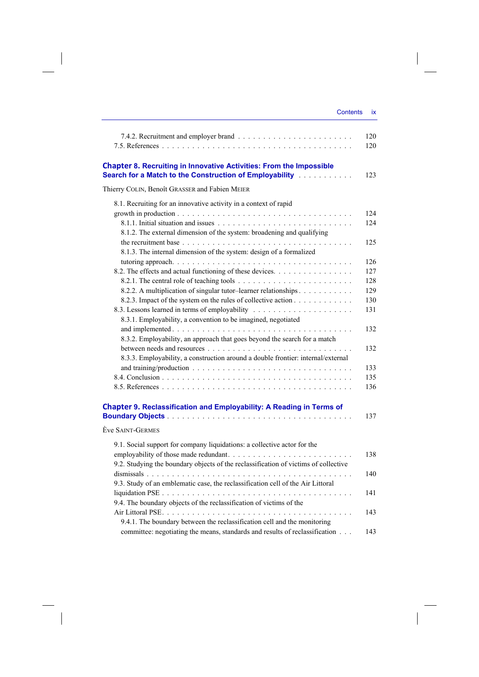|                                                                                                                                                                                      | 120<br>120 |
|--------------------------------------------------------------------------------------------------------------------------------------------------------------------------------------|------------|
| <b>Chapter 8. Recruiting in Innovative Activities: From the Impossible</b><br>Search for a Match to the Construction of Employability [11] [11]                                      | 123        |
| Thierry COLIN, Benoît GRASSER and Fabien MEIER                                                                                                                                       |            |
| 8.1. Recruiting for an innovative activity in a context of rapid                                                                                                                     |            |
| growth in production $\ldots \ldots \ldots \ldots \ldots \ldots \ldots \ldots \ldots \ldots \ldots \ldots$<br>8.1.2. The external dimension of the system: broadening and qualifying | 124<br>124 |
| 8.1.3. The internal dimension of the system: design of a formalized                                                                                                                  | 125        |
|                                                                                                                                                                                      | 126        |
| 8.2. The effects and actual functioning of these devices.                                                                                                                            | 127        |
| 8.2.2. A multiplication of singular tutor-learner relationships                                                                                                                      | 128<br>129 |
| 8.2.3. Impact of the system on the rules of collective action                                                                                                                        | 130        |
|                                                                                                                                                                                      | 131        |
| 8.3.1. Employability, a convention to be imagined, negotiated                                                                                                                        |            |
|                                                                                                                                                                                      | 132        |
| 8.3.2. Employability, an approach that goes beyond the search for a match                                                                                                            |            |
|                                                                                                                                                                                      | 132        |
| 8.3.3. Employability, a construction around a double frontier: internal/external                                                                                                     |            |
|                                                                                                                                                                                      | 133        |
|                                                                                                                                                                                      | 135        |
|                                                                                                                                                                                      | 136        |
| Chapter 9. Reclassification and Employability: A Reading in Terms of                                                                                                                 | 137        |
| Ève SAINT-GERMES                                                                                                                                                                     |            |
| 9.1. Social support for company liquidations: a collective actor for the                                                                                                             |            |
| 9.2. Studying the boundary objects of the reclassification of victims of collective                                                                                                  | 138        |
| 9.3. Study of an emblematic case, the reclassification cell of the Air Littoral                                                                                                      | 140        |
| 9.4. The boundary objects of the reclassification of victims of the                                                                                                                  | 141        |
| 9.4.1. The boundary between the reclassification cell and the monitoring<br>committee: negotiating the means, standards and results of reclassification                              | 143<br>143 |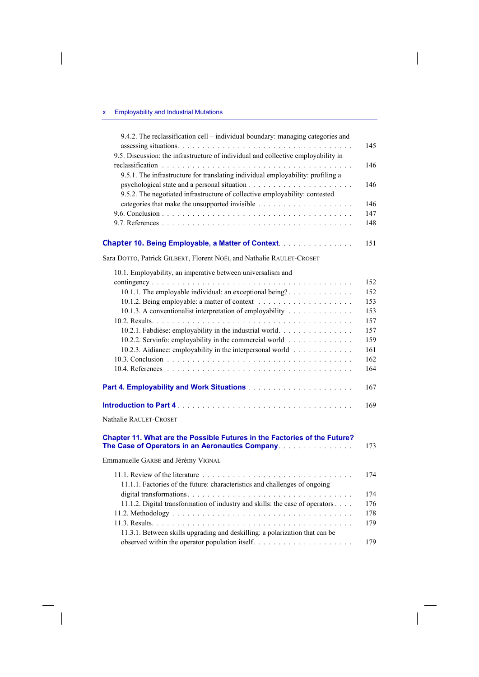$\overline{\phantom{a}}$ 

 $\overline{\phantom{a}}$ 

| 9.4.2. The reclassification cell - individual boundary: managing categories and                                               |  |
|-------------------------------------------------------------------------------------------------------------------------------|--|
| 9.5. Discussion: the infrastructure of individual and collective employability in                                             |  |
|                                                                                                                               |  |
| 9.5.1. The infrastructure for translating individual employability: profiling a                                               |  |
|                                                                                                                               |  |
| 9.5.2. The negotiated infrastructure of collective employability: contested                                                   |  |
|                                                                                                                               |  |
|                                                                                                                               |  |
|                                                                                                                               |  |
| Chapter 10. Being Employable, a Matter of Context.                                                                            |  |
| Sara DOTTO, Patrick GILBERT, Florent NOËL and Nathalie RAULET-CROSET                                                          |  |
| 10.1. Employability, an imperative between universalism and                                                                   |  |
|                                                                                                                               |  |
| 10.1.1. The employable individual: an exceptional being?                                                                      |  |
| 10.1.3. A conventionalist interpretation of employability                                                                     |  |
|                                                                                                                               |  |
| 10.2.1. Fabdièse: employability in the industrial world.                                                                      |  |
| 10.2.2. Servinfo: employability in the commercial world                                                                       |  |
| 10.2.3. Aidiance: employability in the interpersonal world                                                                    |  |
|                                                                                                                               |  |
|                                                                                                                               |  |
|                                                                                                                               |  |
|                                                                                                                               |  |
| Nathalie RAULET-CROSET                                                                                                        |  |
| Chapter 11. What are the Possible Futures in the Factories of the Future?<br>The Case of Operators in an Aeronautics Company. |  |
| Emmanuelle GARBE and Jérémy VIGNAL                                                                                            |  |
|                                                                                                                               |  |
| 11.1.1. Factories of the future: characteristics and challenges of ongoing                                                    |  |
|                                                                                                                               |  |
| 11.1.2. Digital transformation of industry and skills: the case of operators                                                  |  |
|                                                                                                                               |  |
| 11.3.1. Between skills upgrading and deskilling: a polarization that can be                                                   |  |
|                                                                                                                               |  |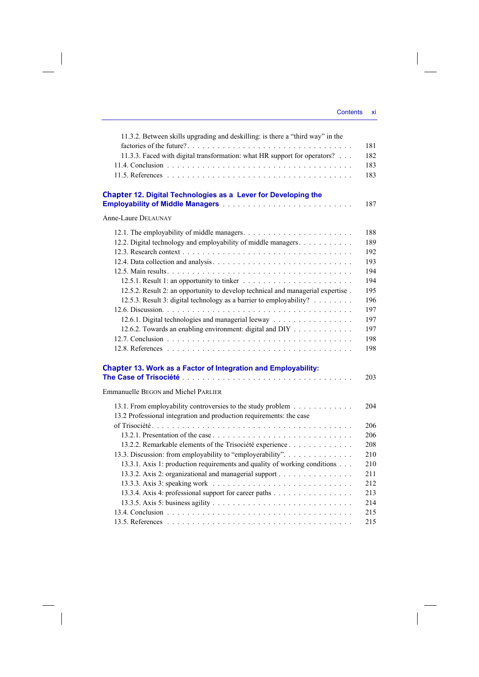| 11.3.2. Between skills upgrading and deskilling: is there a "third way" in the  | 181 |
|---------------------------------------------------------------------------------|-----|
| 11.3.3. Faced with digital transformation: what HR support for operators?       | 182 |
|                                                                                 | 183 |
|                                                                                 | 183 |
|                                                                                 |     |
| Chapter 12. Digital Technologies as a Lever for Developing the                  | 187 |
| <b>Anne-Laure DELAUNAY</b>                                                      |     |
|                                                                                 | 188 |
| 12.2. Digital technology and employability of middle managers.                  | 189 |
|                                                                                 | 192 |
|                                                                                 | 193 |
|                                                                                 | 194 |
|                                                                                 | 194 |
| 12.5.2. Result 2: an opportunity to develop technical and managerial expertise. | 195 |
| 12.5.3. Result 3: digital technology as a barrier to employability?             | 196 |
|                                                                                 | 197 |
| 12.6.1. Digital technologies and managerial leeway                              | 197 |
| 12.6.2. Towards an enabling environment: digital and DIY                        | 197 |
|                                                                                 | 198 |
|                                                                                 | 198 |
|                                                                                 |     |
| <b>Chapter 13. Work as a Factor of Integration and Employability:</b>           |     |
|                                                                                 | 203 |
| <b>Emmanuelle BEGON and Michel PARLIER</b>                                      |     |
| 13.1. From employability controversies to the study problem                     | 204 |
| 13.2 Professional integration and production requirements: the case             |     |
|                                                                                 | 206 |
|                                                                                 | 206 |
| 13.2.2. Remarkable elements of the Trisociété experience                        | 208 |
| 13.3. Discussion: from employability to "employerability".                      | 210 |
| 13.3.1. Axis 1: production requirements and quality of working conditions       | 210 |
| 13.3.2. Axis 2: organizational and managerial support                           | 211 |
|                                                                                 | 212 |
| 13.3.4. Axis 4: professional support for career paths                           | 213 |
|                                                                                 | 214 |
|                                                                                 | 215 |
|                                                                                 | 215 |
|                                                                                 |     |